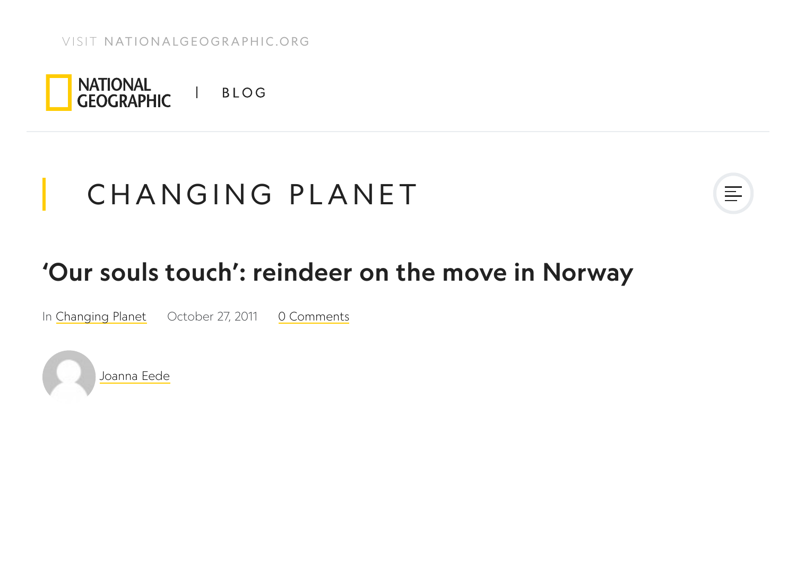VISIT NATIONALGEOGRAPHIC.ORG

**NATIONAL**  $\overline{1}$ **BLOG GEOGRAPHIC** 

# CHANGING PLANET



# 'Our souls touch': reindeer on the move in Norway

In Changing Planet October 27, 2011 0 Comments

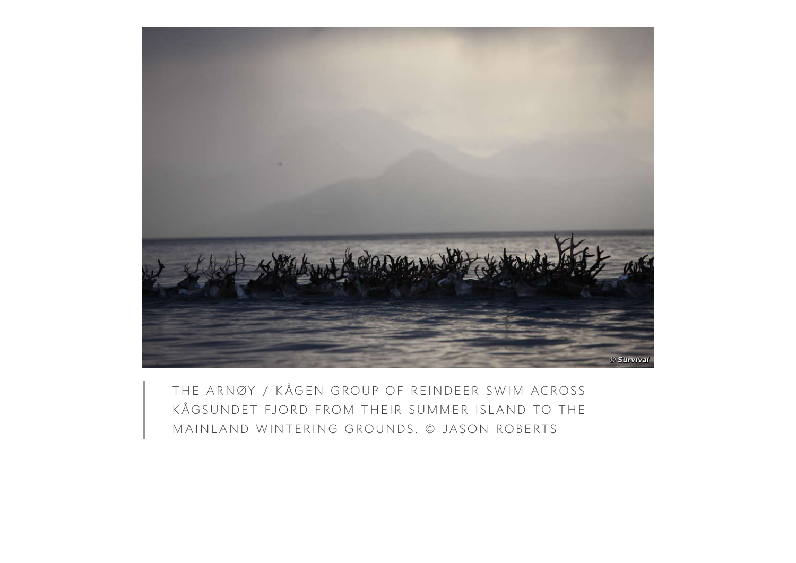

THE ARNØY / KÅGEN GROUP OF REINDEER SWIM ACROSS KÅGSUNDET FJORD FROM THEIR SUMMER ISLAND TO THE MAINLAND WINTERING GROUNDS. © JASON ROBERTS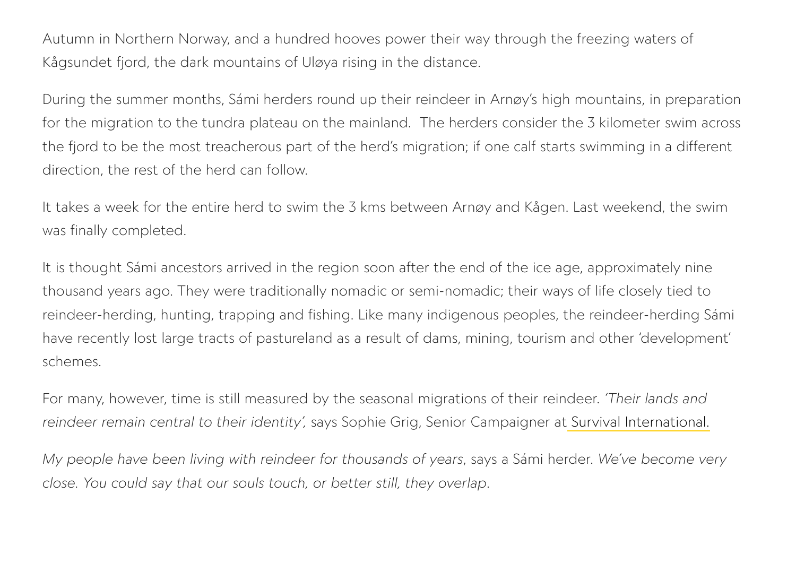Autumn in Northern Norway, and <sup>a</sup> hundred hooves power their way through the freezing waters of Kågsundet fjord, the dark mountains of Uløya rising in the distance.

During the summer months, Sámi herders round up their reindeer in Arnøy's high mountains, in preparation for the migration to the tundra plateau on the mainland. The herders consider the 3 kilometer swim across the fjord to be the most treacherous part of the herd's migration; if one calf starts swimming in <sup>a</sup> different direction, the rest of the herd can follow.

It takes <sup>a</sup> week for the entire herd to swim the 3 kms between Arnøy and Kågen. Last weekend, the swim was finally completed.

It is thought Sámi ancestors arrived in the region soon after the end of the ice age, approximately nine thousand years ago. They were traditionally nomadic or semi-nomadic; their ways of life closely tied to reindeer-herding, hunting, trapping and fishing. Like many indigenous peoples, the reindeer-herding Sámi have recently lost large tracts of pastureland as <sup>a</sup> result of dams, mining, tourism and other 'development' schemes.

For many, however, time is still measured by the seasonal migrations of their reindeer. 'Their lands and reindeer remain central to their identity', says Sophie Grig, Senior Campaigner at Survival International.

My people have been living with reindeer for thousands of years, says <sup>a</sup> Sámi herder. We've become very close. You could say that our souls touch, or better still, they overlap.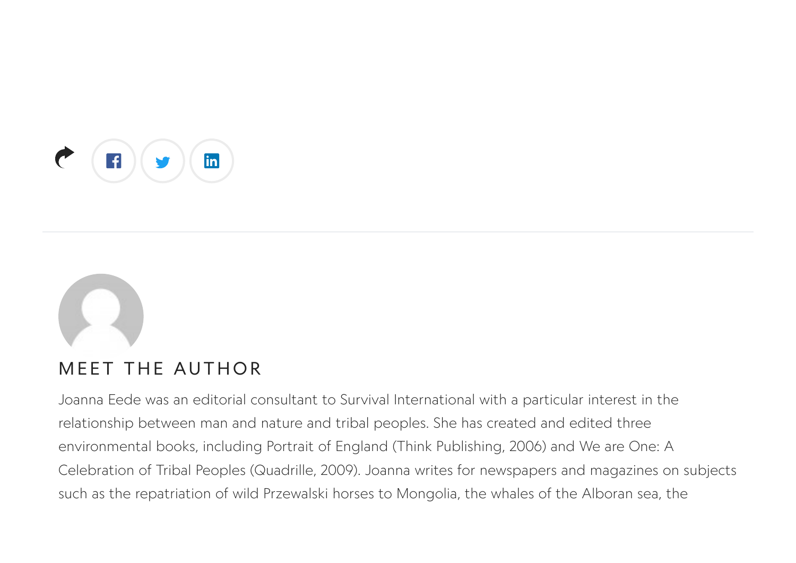



#### **MEET THE AUTHOR**

Joanna Eede was an editorial consultant to Survival International with <sup>a</sup> particular interest in the relationship between man and nature and tribal peoples. She has created and edited three environmental books, including Portrait of England (Think Publishing, 2006) and We are One: A Celebration of Tribal Peoples (Quadrille, 2009). Joanna writes for newspapers and magazines on subjects such as the repatriation of wild Przewalski horses to Mongolia, the whales of the Alboran sea, the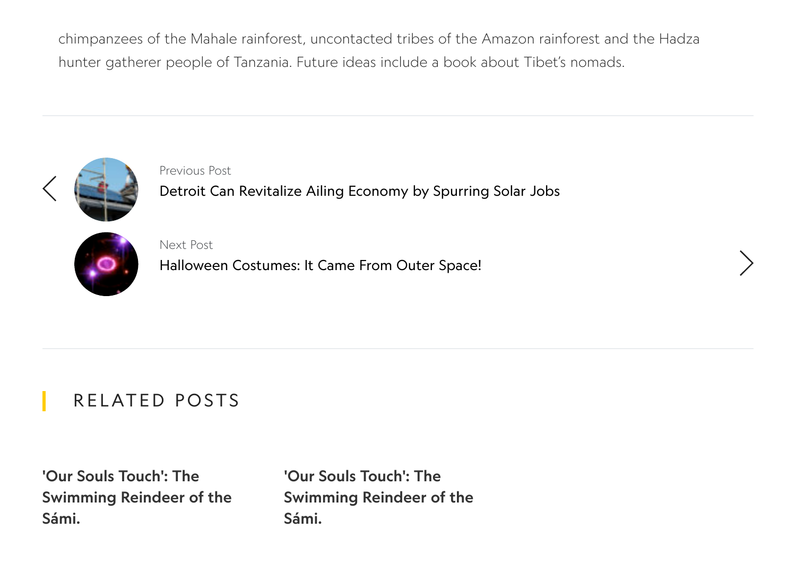chimpanzees of the Mahale rainforest, uncontacted tribes of the Amazon rainforest and the Hadza hunter gatherer people of Tanzania. Future ideas include <sup>a</sup> book about Tibet's nomads.



Previous Post

Detroit Can Revitalize Ailing Economy by Spurring Solar Jobs



Next Post

Halloween Costumes: It Came From Outer Space!

## RELATED POSTS

'Our Souls Touch': The Swimming Reindeer of the Sámi.

'Our Souls Touch': The Swimming Reindeer of the Sámi.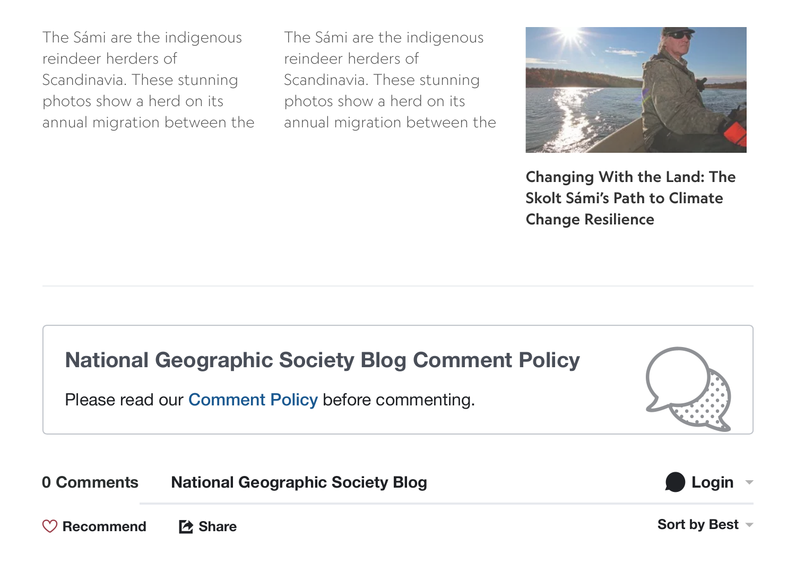The Sámi are the indigenous reindeer herders of Scandinavia. These stunning photos show <sup>a</sup> herd on its annual migration between the

The Sámi are the indigenous reindeer herders of Scandinavia. These stunning photos show <sup>a</sup> herd on its annual migration between the



Changing With the Land: The Skolt Sámi's Path to Climate Change Resilience

**National Geographic Society Blog Comment Policy**

Please read our Comment Policy before commenting.

**<sup>0</sup> Comments National Geographic Society Blog Login**



D

**Recommend**

⤤**Share Sort by Best**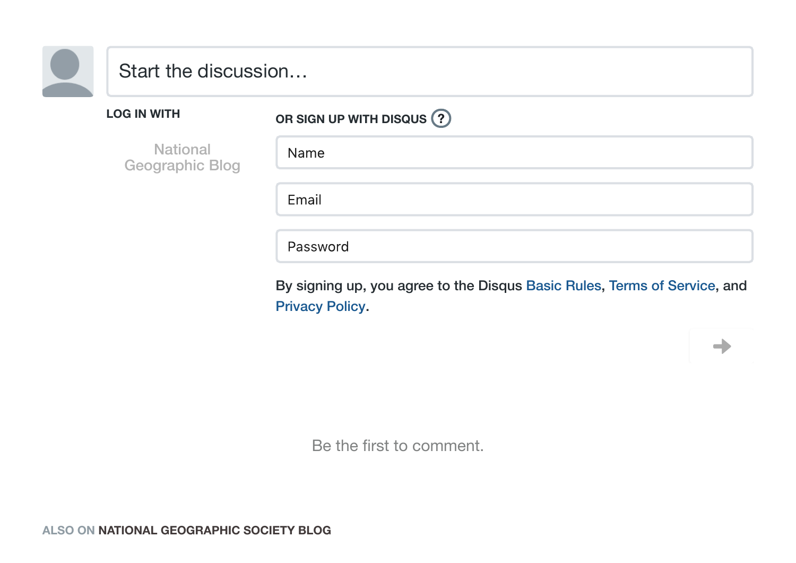#### Start the discussion…

**LOG** IN WITH

**National** Geographic Blog

|  |  |  |  | OR SIGN UP WITH DISQUS $\overline{\textbf{?}}$ |  |
|--|--|--|--|------------------------------------------------|--|
|--|--|--|--|------------------------------------------------|--|

| Name     |  |
|----------|--|
|          |  |
| Email    |  |
|          |  |
| Password |  |

By signing up, you agree to the Disqus Basic Rules, Terms of Service, and Privacy Policy.

→

Be the first to comment.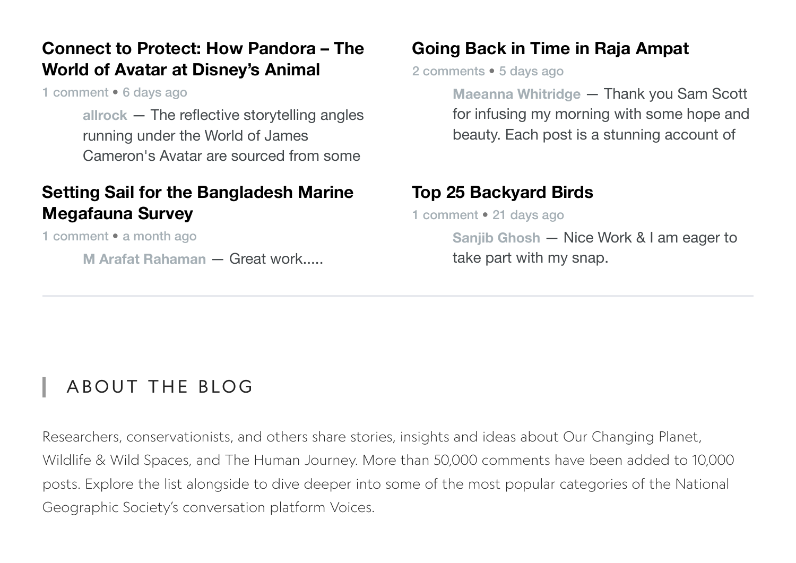#### **Connect to Protect: How Pandora – The World of Avatar at Disney's Animal**

1 comment • 6 days ago

**allrock** — The reflective storytelling angles running under the World of James Cameron's Avatar are sourced from some

#### **Setting Sail for the Bangladesh Marine Megafauna Survey**

1 comment • <sup>a</sup> month ago

**M Arafat Rahaman** — Great work.....

#### **Going Back in Time in Raja Ampat**

2 comments • 5 days ago

**Maeanna Whitridge** — Thank you Sam Scott for infusing my morning with some hope and beauty. Each post is <sup>a</sup> stunning account of

#### **Top 25 Backyard Birds**

1 comment • 21 days ago

**Sanjib Ghosh** — Nice Work & I am eager to take part with my snap.

# A BOUT THE BLOG

Researchers, conservationists, and others share stories, insights and ideas about Our Changing Planet, Wildlife & Wild Spaces, and The Human Journey. More than 50,000 comments have been added to 10,000 posts. Explore the list alongside to dive deeper into some of the most popular categories of the National Geographic Society's conversation platform Voices.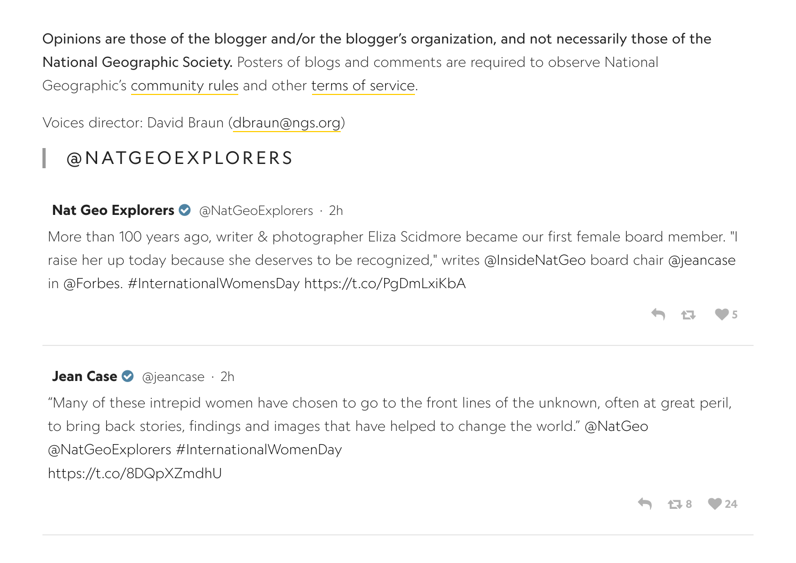Opinions are those of the blogger and/or the blogger's organization, and not necessarily those of the National Geographic Society. Posters of blogs and comments are required to observe National Geographic's community rules and other terms of service.

Voices director: David Braun (dbraun@ngs.org)

## @ N ATG E O E X P LO R E R S

#### Nat Geo Explorers  $\bullet$  @NatGeoExplorers · 2h

More than 100 years ago, writer & photographer Eliza Scidmore became our first female board member. "I raise her up today because she deserves to be recognized," writes @InsideNatGeo board chair @jeancase in @Forbes. #InternationalWomensDay https://t.co/PgDmLxiKbA



#### Jean Case **&** @jeancase · 2h

"Many of these intrepid women have chosen to go to the front lines of the unknown, often at great peril, to bring back stories, findings and images that have helped to change the world." @NatGeo @NatGeoExplorers #InternationalWomenDay https://t.co/8DQpXZmdhU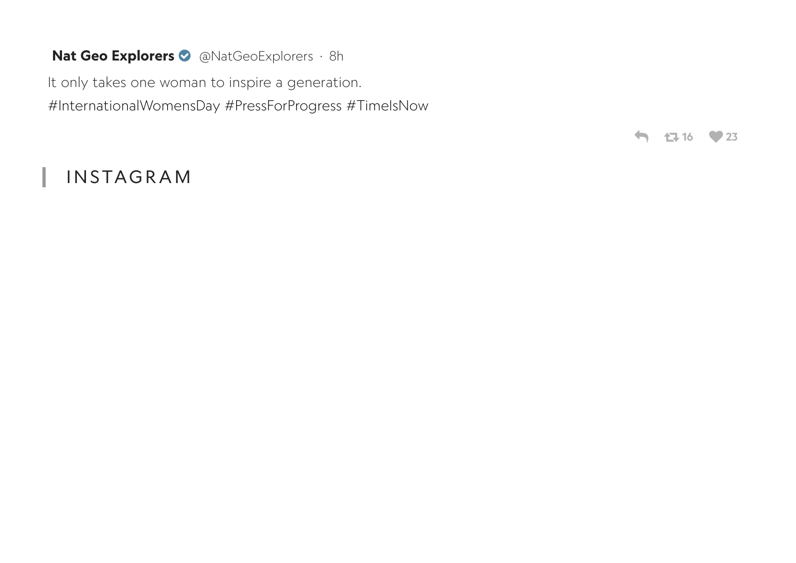#### Nat Geo Explorers  $\bullet$  @NatGeoExplorers · 8h

It only takes one woman to inspire a generation. #In t ern a tio n alW ome n s D a y # Pre s s F orPro gre s s # TimeIs N o w

> Ă 16  $\blacktriangledown$  23

### INSTAGRAM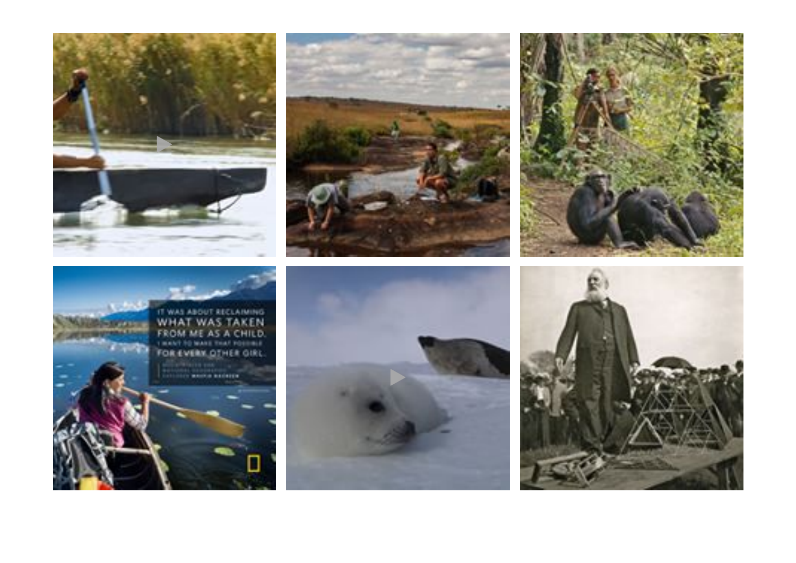